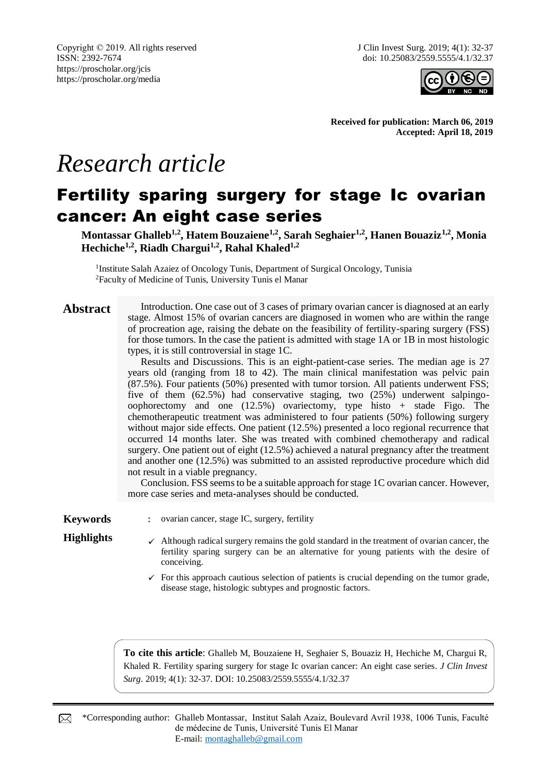Copyright © 2019. All rights reserved ISSN: 2392-7674 https://proscholar.org/jcis https://proscholar.org/media

J Clin Invest Surg. 2019; 4(1): 32-37 doi: 10.25083/2559.5555/4.1/32.37



**Received for publication: March 06, 2019 Accepted: April 18, 2019**

# *Research article*

## Fertility sparing surgery for stage Ic ovarian cancer: An eight case series

**Montassar Ghalleb1,2, Hatem Bouzaiene1,2, Sarah Seghaier1,2, Hanen Bouaziz1,2, Monia Hechiche1,2, Riadh Chargui1,2, Rahal Khaled1,2**

<sup>1</sup>Institute Salah Azaiez of Oncology Tunis, Department of Surgical Oncology, Tunisia <sup>2</sup>Faculty of Medicine of Tunis, University Tunis el Manar

Abstract Introduction. One case out of 3 cases of primary ovarian cancer is diagnosed at an early stage. Almost 15% of ovarian cancers are diagnosed in women who are within the range of procreation age, raising the debate on the feasibility of fertility-sparing surgery (FSS) for those tumors. In the case the patient is admitted with stage 1A or 1B in most histologic types, it is still controversial in stage 1C.

> Results and Discussions. This is an eight-patient-case series. The median age is 27 years old (ranging from 18 to 42). The main clinical manifestation was pelvic pain (87.5%). Four patients (50%) presented with tumor torsion. All patients underwent FSS; five of them (62.5%) had conservative staging, two (25%) underwent salpingooophorectomy and one (12.5%) ovariectomy, type histo + stade Figo. The chemotherapeutic treatment was administered to four patients (50%) following surgery without major side effects. One patient (12.5%) presented a loco regional recurrence that occurred 14 months later. She was treated with combined chemotherapy and radical surgery. One patient out of eight (12.5%) achieved a natural pregnancy after the treatment and another one (12.5%) was submitted to an assisted reproductive procedure which did not result in a viable pregnancy.

> Conclusion. FSS seems to be a suitable approach for stage 1C ovarian cancer. However, more case series and meta-analyses should be conducted.

- **Keywords** : ovarian cancer, stage IC, surgery, fertility
- **Highlights**  $\checkmark$  Although radical surgery remains the gold standard in the treatment of ovarian cancer, the fertility sparing surgery can be an alternative for young patients with the desire of conceiving.
	- $\checkmark$  For this approach cautious selection of patients is crucial depending on the tumor grade, disease stage, histologic subtypes and prognostic factors.

**To cite this article**: Ghalleb M, Bouzaiene H, Seghaier S, Bouaziz H, Hechiche M, Chargui R, Khaled R. Fertility sparing surgery for stage Ic ovarian cancer: An eight case series. *J Clin Invest Surg*. 2019; 4(1): 32-37. DOI: 10.25083/2559.5555/4.1/32.37

\*Corresponding author: Ghalleb Montassar, Institut Salah Azaiz, Boulevard Avril 1938, 1006 Tunis, Faculté M de médecine de Tunis, Université Tunis El Manar E-mail: [montaghalleb@gmail.com](mailto:montaghalleb@gmail.com)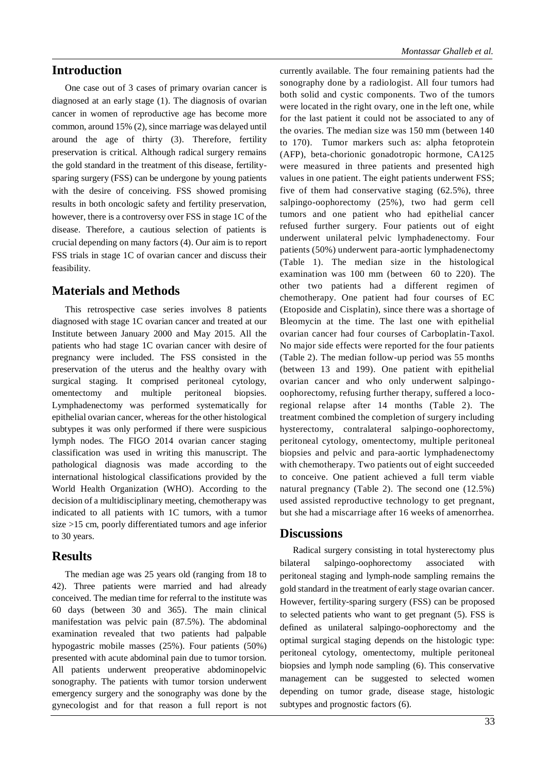#### **Introduction**

One case out of 3 cases of primary ovarian cancer is diagnosed at an early stage (1). The diagnosis of ovarian cancer in women of reproductive age has become more common, around 15% (2), since marriage was delayed until around the age of thirty (3). Therefore, fertility preservation is critical. Although radical surgery remains the gold standard in the treatment of this disease, fertilitysparing surgery (FSS) can be undergone by young patients with the desire of conceiving. FSS showed promising results in both oncologic safety and fertility preservation, however, there is a controversy over FSS in stage 1C of the disease. Therefore, a cautious selection of patients is crucial depending on many factors (4). Our aim is to report FSS trials in stage 1C of ovarian cancer and discuss their feasibility.

#### **Materials and Methods**

This retrospective case series involves 8 patients diagnosed with stage 1C ovarian cancer and treated at our Institute between January 2000 and May 2015. All the patients who had stage 1C ovarian cancer with desire of pregnancy were included. The FSS consisted in the preservation of the uterus and the healthy ovary with surgical staging. It comprised peritoneal cytology, omentectomy and multiple peritoneal biopsies. Lymphadenectomy was performed systematically for epithelial ovarian cancer, whereas for the other histological subtypes it was only performed if there were suspicious lymph nodes. The FIGO 2014 ovarian cancer staging classification was used in writing this manuscript. The pathological diagnosis was made according to the international histological classifications provided by the World Health Organization (WHO). According to the decision of a multidisciplinary meeting, chemotherapy was indicated to all patients with 1C tumors, with a tumor size >15 cm, poorly differentiated tumors and age inferior to 30 years.

#### **Results**

The median age was 25 years old (ranging from 18 to 42). Three patients were married and had already conceived. The median time for referral to the institute was 60 days (between 30 and 365). The main clinical manifestation was pelvic pain (87.5%). The abdominal examination revealed that two patients had palpable hypogastric mobile masses (25%). Four patients (50%) presented with acute abdominal pain due to tumor torsion. All patients underwent preoperative abdominopelvic sonography. The patients with tumor torsion underwent emergency surgery and the sonography was done by the gynecologist and for that reason a full report is not currently available. The four remaining patients had the sonography done by a radiologist. All four tumors had both solid and cystic components. Two of the tumors were located in the right ovary, one in the left one, while for the last patient it could not be associated to any of the ovaries. The median size was 150 mm (between 140 to 170). Tumor markers such as: alpha fetoprotein (AFP), beta-chorionic gonadotropic hormone, CA125 were measured in three patients and presented high values in one patient. The eight patients underwent FSS; five of them had conservative staging (62.5%), three salpingo-oophorectomy (25%), two had germ cell tumors and one patient who had epithelial cancer refused further surgery. Four patients out of eight underwent unilateral pelvic lymphadenectomy. Four patients (50%) underwent para-aortic lymphadenectomy (Table 1). The median size in the histological examination was 100 mm (between 60 to 220). The other two patients had a different regimen of chemotherapy. One patient had four courses of EC (Etoposide and Cisplatin), since there was a shortage of Bleomycin at the time. The last one with epithelial ovarian cancer had four courses of Carboplatin-Taxol. No major side effects were reported for the four patients (Table 2). The median follow-up period was 55 months (between 13 and 199). One patient with epithelial ovarian cancer and who only underwent salpingooophorectomy, refusing further therapy, suffered a locoregional relapse after 14 months (Table 2). The treatment combined the completion of surgery including hysterectomy, contralateral salpingo-oophorectomy, peritoneal cytology, omentectomy, multiple peritoneal biopsies and pelvic and para-aortic lymphadenectomy with chemotherapy. Two patients out of eight succeeded to conceive. One patient achieved a full term viable natural pregnancy (Table 2). The second one (12.5%) used assisted reproductive technology to get pregnant, but she had a miscarriage after 16 weeks of amenorrhea.

#### **Discussions**

Radical surgery consisting in total hysterectomy plus bilateral salpingo-oophorectomy associated with peritoneal staging and lymph-node sampling remains the gold standard in the treatment of early stage ovarian cancer. However, fertility-sparing surgery (FSS) can be proposed to selected patients who want to get pregnant (5). FSS is defined as unilateral salpingo-oophorectomy and the optimal surgical staging depends on the histologic type: peritoneal cytology, omentectomy, multiple peritoneal biopsies and lymph node sampling (6). This conservative management can be suggested to selected women depending on tumor grade, disease stage, histologic subtypes and prognostic factors (6).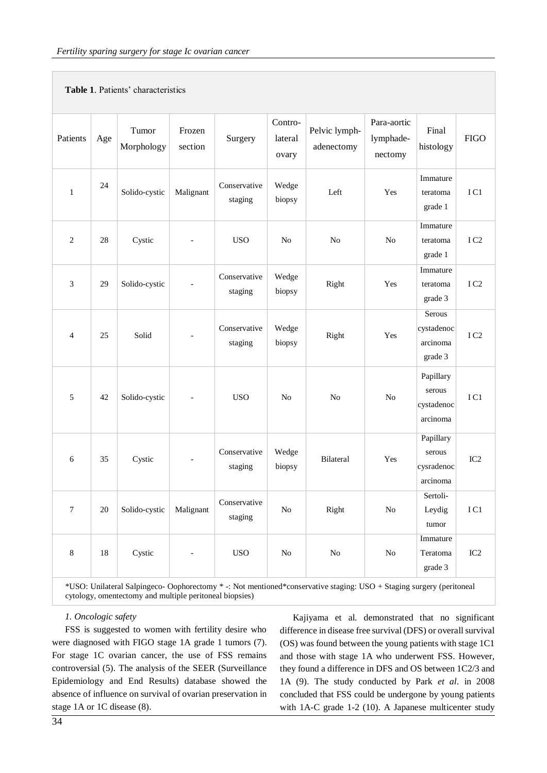| Table 1. Patients' characteristics |        |                     |                              |                         |                             |                             |                                     |                                               |                 |  |
|------------------------------------|--------|---------------------|------------------------------|-------------------------|-----------------------------|-----------------------------|-------------------------------------|-----------------------------------------------|-----------------|--|
| Patients                           | Age    | Tumor<br>Morphology | Frozen<br>section            | Surgery                 | Contro-<br>lateral<br>ovary | Pelvic lymph-<br>adenectomy | Para-aortic<br>lymphade-<br>nectomy | Final<br>histology                            | <b>FIGO</b>     |  |
| $\mathbf{1}$                       | 24     | Solido-cystic       | Malignant                    | Conservative<br>staging | Wedge<br>biopsy             | Left                        | Yes                                 | Immature<br>teratoma<br>grade 1               | IC1             |  |
| $\overline{2}$                     | 28     | Cystic              | $\overline{\phantom{a}}$     | <b>USO</b>              | N <sub>o</sub>              | N <sub>o</sub>              | No                                  | Immature<br>teratoma<br>grade 1               | IC <sub>2</sub> |  |
| 3                                  | 29     | Solido-cystic       |                              | Conservative<br>staging | Wedge<br>biopsy             | Right                       | Yes                                 | Immature<br>teratoma<br>grade 3               | I <sub>C2</sub> |  |
| $\overline{4}$                     | 25     | Solid               |                              | Conservative<br>staging | Wedge<br>biopsy             | Right                       | Yes                                 | Serous<br>cystadenoc<br>arcinoma<br>grade 3   | I <sub>C2</sub> |  |
| 5                                  | 42     | Solido-cystic       |                              | <b>USO</b>              | N <sub>o</sub>              | No                          | No                                  | Papillary<br>serous<br>cystadenoc<br>arcinoma | IC1             |  |
| 6                                  | 35     | Cystic              | $\overline{\phantom{a}}$     | Conservative<br>staging | Wedge<br>biopsy             | Bilateral                   | Yes                                 | Papillary<br>serous<br>cysradenoc<br>arcinoma | IC2             |  |
| $\boldsymbol{7}$                   | $20\,$ | Solido-cystic       | Malignant                    | Conservative<br>staging | $\rm No$                    | Right                       | ${\rm No}$                          | Sertoli-<br>Leydig<br>$t$ umor                | $\rm I\,C1$     |  |
| $\,8\,$                            | 18     | Cystic              | $\qquad \qquad \blacksquare$ | <b>USO</b>              | $\rm No$                    | ${\rm No}$                  | ${\rm No}$                          | Immature<br>Teratoma<br>grade 3               | $\rm IC2$       |  |

\*USO: Unilateral Salpingeco- Oophorectomy \* -: Not mentioned\*conservative staging: USO + Staging surgery (peritoneal cytology, omentectomy and multiple peritoneal biopsies)

#### *1. Oncologic safety*

FSS is suggested to women with fertility desire who were diagnosed with FIGO stage 1A grade 1 tumors (7). For stage 1C ovarian cancer, the use of FSS remains controversial (5). The analysis of the SEER (Surveillance Epidemiology and End Results) database showed the absence of influence on survival of ovarian preservation in stage 1A or 1C disease (8).

Kajiyama et al. demonstrated that no significant difference in disease free survival (DFS) or overall survival (OS) was found between the young patients with stage 1C1 and those with stage 1A who underwent FSS. However, they found a difference in DFS and OS between 1C2/3 and 1A (9). The study conducted by Park *et al*. in 2008 concluded that FSS could be undergone by young patients with 1A-C grade 1-2 (10). A Japanese multicenter study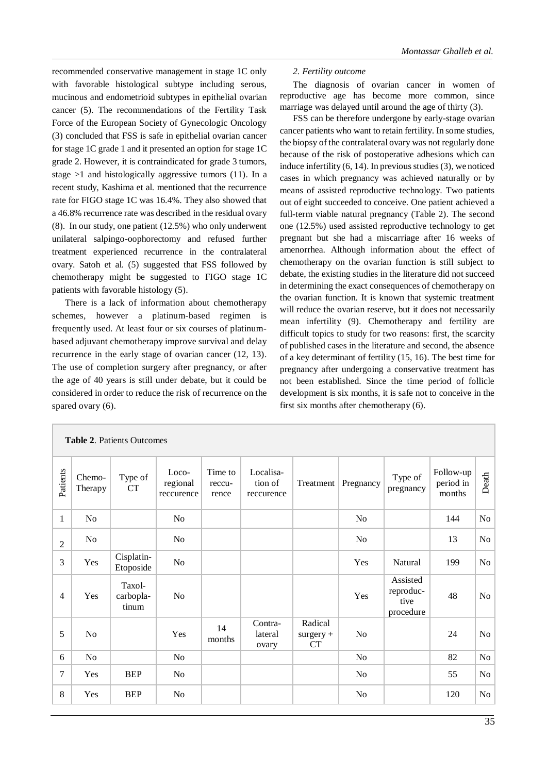recommended conservative management in stage 1C only with favorable histological subtype including serous, mucinous and endometrioid subtypes in epithelial ovarian cancer (5). The recommendations of the Fertility Task Force of the European Society of Gynecologic Oncology (3) concluded that FSS is safe in epithelial ovarian cancer for stage 1C grade 1 and it presented an option for stage 1C grade 2. However, it is contraindicated for grade 3 tumors, stage >1 and histologically aggressive tumors (11). In a recent study, Kashima et al. mentioned that the recurrence rate for FIGO stage 1C was 16.4%. They also showed that a 46.8% recurrence rate was described in the residual ovary (8). In our study, one patient (12.5%) who only underwent unilateral salpingo-oophorectomy and refused further treatment experienced recurrence in the contralateral ovary. Satoh et al. (5) suggested that FSS followed by chemotherapy might be suggested to FIGO stage 1C patients with favorable histology (5).

There is a lack of information about chemotherapy schemes, however a platinum-based regimen is frequently used. At least four or six courses of platinumbased adjuvant chemotherapy improve survival and delay recurrence in the early stage of ovarian cancer (12, 13). The use of completion surgery after pregnancy, or after the age of 40 years is still under debate, but it could be considered in order to reduce the risk of recurrence on the spared ovary  $(6)$ .

#### *2. Fertility outcome*

The diagnosis of ovarian cancer in women of reproductive age has become more common, since marriage was delayed until around the age of thirty (3).

FSS can be therefore undergone by early-stage ovarian cancer patients who want to retain fertility. In some studies, the biopsy of the contralateral ovary was not regularly done because of the risk of postoperative adhesions which can induce infertility (6, 14). In previous studies (3), we noticed cases in which pregnancy was achieved naturally or by means of assisted reproductive technology. Two patients out of eight succeeded to conceive. One patient achieved a full-term viable natural pregnancy (Table 2). The second one (12.5%) used assisted reproductive technology to get pregnant but she had a miscarriage after 16 weeks of amenorrhea. Although information about the effect of chemotherapy on the ovarian function is still subject to debate, the existing studies in the literature did not succeed in determining the exact consequences of chemotherapy on the ovarian function. It is known that systemic treatment will reduce the ovarian reserve, but it does not necessarily mean infertility (9). Chemotherapy and fertility are difficult topics to study for two reasons: first, the scarcity of published cases in the literature and second, the absence of a key determinant of fertility (15, 16). The best time for pregnancy after undergoing a conservative treatment has not been established. Since the time period of follicle development is six months, it is safe not to conceive in the first six months after chemotherapy (6).

| <b>Table 2. Patients Outcomes</b> |                   |                              |                                 |                            |                                    |                                     |                |                                            |                                  |       |  |
|-----------------------------------|-------------------|------------------------------|---------------------------------|----------------------------|------------------------------------|-------------------------------------|----------------|--------------------------------------------|----------------------------------|-------|--|
| Patients                          | Chemo-<br>Therapy | Type of<br><b>CT</b>         | Loco-<br>regional<br>reccurence | Time to<br>reccu-<br>rence | Localisa-<br>tion of<br>reccurence | Treatment                           | Pregnancy      | Type of<br>pregnancy                       | Follow-up<br>period in<br>months | Death |  |
| 1                                 | N <sub>o</sub>    |                              | No                              |                            |                                    |                                     | No             |                                            | 144                              | No    |  |
| $\overline{2}$                    | N <sub>0</sub>    |                              | N <sub>o</sub>                  |                            |                                    |                                     | No             |                                            | 13                               | No    |  |
| 3                                 | Yes               | Cisplatin-<br>Etoposide      | No                              |                            |                                    |                                     | Yes            | Natural                                    | 199                              | No    |  |
| $\overline{4}$                    | Yes               | Taxol-<br>carbopla-<br>tinum | N <sub>o</sub>                  |                            |                                    |                                     | Yes            | Assisted<br>reproduc-<br>tive<br>procedure | 48                               | No    |  |
| 5                                 | N <sub>0</sub>    |                              | Yes                             | 14<br>months               | Contra-<br>lateral<br>ovary        | Radical<br>$surgery +$<br><b>CT</b> | No             |                                            | 24                               | No    |  |
| 6                                 | No                |                              | No                              |                            |                                    |                                     | No             |                                            | 82                               | No    |  |
| $\overline{7}$                    | Yes               | <b>BEP</b>                   | N <sub>o</sub>                  |                            |                                    |                                     | No             |                                            | 55                               | No    |  |
| 8                                 | Yes               | <b>BEP</b>                   | No                              |                            |                                    |                                     | N <sub>o</sub> |                                            | 120                              | No    |  |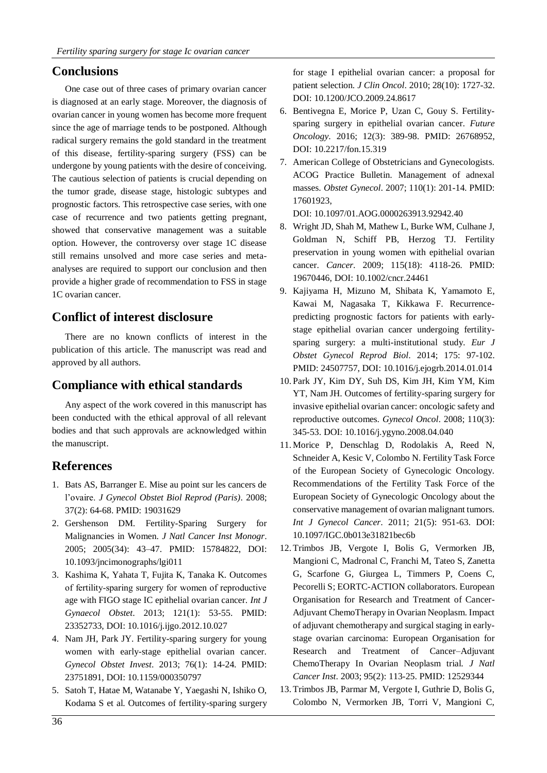### **Conclusions**

One case out of three cases of primary ovarian cancer is diagnosed at an early stage. Moreover, the diagnosis of ovarian cancer in young women has become more frequent since the age of marriage tends to be postponed. Although radical surgery remains the gold standard in the treatment of this disease, fertility-sparing surgery (FSS) can be undergone by young patients with the desire of conceiving. The cautious selection of patients is crucial depending on the tumor grade, disease stage, histologic subtypes and prognostic factors. This retrospective case series, with one case of recurrence and two patients getting pregnant, showed that conservative management was a suitable option. However, the controversy over stage 1C disease still remains unsolved and more case series and metaanalyses are required to support our conclusion and then provide a higher grade of recommendation to FSS in stage 1C ovarian cancer.

### **Conflict of interest disclosure**

There are no known conflicts of interest in the publication of this article. The manuscript was read and approved by all authors.

#### **Compliance with ethical standards**

Any aspect of the work covered in this manuscript has been conducted with the ethical approval of all relevant bodies and that such approvals are acknowledged within the manuscript.

#### **References**

- 1. Bats AS, Barranger E. Mise au point sur les cancers de l'ovaire. *J Gynecol Obstet Biol Reprod (Paris)*. 2008; 37(2): 64-68. PMID: 19031629
- 2. Gershenson DM. Fertility-Sparing Surgery for Malignancies in Women. *J Natl Cancer Inst Monogr*. 2005; 2005(34): 43–47. PMID: 15784822, DOI: 10.1093/jncimonographs/lgi011
- 3. Kashima K, Yahata T, Fujita K, Tanaka K. Outcomes of fertility‐sparing surgery for women of reproductive age with FIGO stage IC epithelial ovarian cancer. *Int J Gynaecol Obstet*. 2013; 121(1): 53-55. PMID: 23352733, DOI: 10.1016/j.ijgo.2012.10.027
- 4. Nam JH, Park JY. Fertility-sparing surgery for young women with early-stage epithelial ovarian cancer. *Gynecol Obstet Invest*. 2013; 76(1): 14-24. PMID: 23751891, DOI: 10.1159/000350797
- 5. Satoh T, Hatae M, Watanabe Y, Yaegashi N, Ishiko O, Kodama S et al. Outcomes of fertility-sparing surgery

for stage I epithelial ovarian cancer: a proposal for patient selection. *J Clin Oncol*. 2010; 28(10): 1727-32. DOI: 10.1200/JCO.2009.24.8617

- 6. Bentivegna E, Morice P, Uzan C, Gouy S. Fertilitysparing surgery in epithelial ovarian cancer. *Future Oncology*. 2016; 12(3): 389-98. PMID: 26768952, DOI: 10.2217/fon.15.319
- 7. American College of Obstetricians and Gynecologists. ACOG Practice Bulletin. Management of adnexal masses. *Obstet Gynecol*. 2007; 110(1): 201-14. PMID: 17601923,

DOI: 10.1097/01.AOG.0000263913.92942.40

- 8. Wright JD, Shah M, Mathew L, Burke WM, Culhane J, Goldman N, Schiff PB, Herzog TJ. Fertility preservation in young women with epithelial ovarian cancer. *Cancer*. 2009; 115(18): 4118-26. PMID: 19670446, DOI: 10.1002/cncr.24461
- 9. Kajiyama H, Mizuno M, Shibata K, Yamamoto E, Kawai M, Nagasaka T, Kikkawa F. Recurrencepredicting prognostic factors for patients with earlystage epithelial ovarian cancer undergoing fertilitysparing surgery: a multi-institutional study. *Eur J Obstet Gynecol Reprod Biol*. 2014; 175: 97-102. PMID: 24507757, DOI: 10.1016/j.ejogrb.2014.01.014
- 10.Park JY, Kim DY, Suh DS, Kim JH, Kim YM, Kim YT, Nam JH. Outcomes of fertility-sparing surgery for invasive epithelial ovarian cancer: oncologic safety and reproductive outcomes. *Gynecol Oncol*. 2008; 110(3): 345-53. DOI: 10.1016/j.ygyno.2008.04.040
- 11. Morice P, Denschlag D, Rodolakis A, Reed N, Schneider A, Kesic V, Colombo N. Fertility Task Force of the European Society of Gynecologic Oncology. Recommendations of the Fertility Task Force of the European Society of Gynecologic Oncology about the conservative management of ovarian malignant tumors. *Int J Gynecol Cancer*. 2011; 21(5): 951-63. DOI: 10.1097/IGC.0b013e31821bec6b
- 12. Trimbos JB, Vergote I, Bolis G, Vermorken JB, Mangioni C, Madronal C, Franchi M, Tateo S, Zanetta G, Scarfone G, Giurgea L, Timmers P, Coens C, Pecorelli S; EORTC-ACTION collaborators. European Organisation for Research and Treatment of Cancer-Adjuvant ChemoTherapy in Ovarian Neoplasm. Impact of adjuvant chemotherapy and surgical staging in earlystage ovarian carcinoma: European Organisation for Research and Treatment of Cancer–Adjuvant ChemoTherapy In Ovarian Neoplasm trial. *J Natl Cancer Inst*. 2003; 95(2): 113-25. PMID: 12529344
- 13. Trimbos JB, Parmar M, Vergote I, Guthrie D, Bolis G, Colombo N, Vermorken JB, Torri V, Mangioni C,